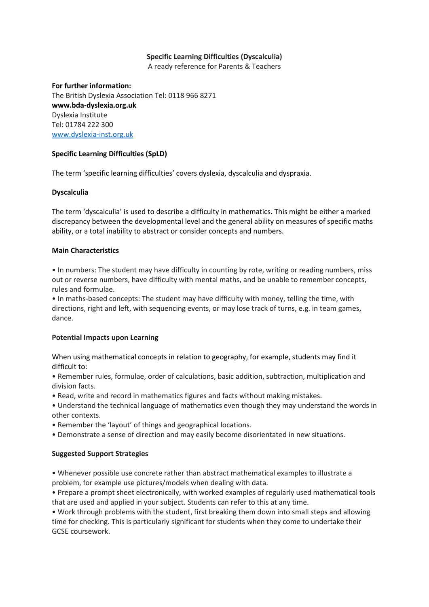# **Specific Learning Difficulties (Dyscalculia)**

A ready reference for Parents & Teachers

#### **For further information:**

The British Dyslexia Association Tel: 0118 966 8271 **www.bda-dyslexia.org.uk** Dyslexia Institute Tel: 01784 222 300 [www.dyslexia-inst.org.uk](http://www.dyslexia-inst.org.uk/)

### **Specific Learning Difficulties (SpLD)**

The term 'specific learning difficulties' covers dyslexia, dyscalculia and dyspraxia.

# **Dyscalculia**

The term 'dyscalculia' is used to describe a difficulty in mathematics. This might be either a marked discrepancy between the developmental level and the general ability on measures of specific maths ability, or a total inability to abstract or consider concepts and numbers.

### **Main Characteristics**

• In numbers: The student may have difficulty in counting by rote, writing or reading numbers, miss out or reverse numbers, have difficulty with mental maths, and be unable to remember concepts, rules and formulae.

• In maths-based concepts: The student may have difficulty with money, telling the time, with directions, right and left, with sequencing events, or may lose track of turns, e.g. in team games, dance.

### **Potential Impacts upon Learning**

When using mathematical concepts in relation to geography, for example, students may find it difficult to:

• Remember rules, formulae, order of calculations, basic addition, subtraction, multiplication and division facts.

- Read, write and record in mathematics figures and facts without making mistakes.
- Understand the technical language of mathematics even though they may understand the words in other contexts.
- Remember the 'layout' of things and geographical locations.
- Demonstrate a sense of direction and may easily become disorientated in new situations.

### **Suggested Support Strategies**

• Whenever possible use concrete rather than abstract mathematical examples to illustrate a problem, for example use pictures/models when dealing with data.

• Prepare a prompt sheet electronically, with worked examples of regularly used mathematical tools that are used and applied in your subject. Students can refer to this at any time.

• Work through problems with the student, first breaking them down into small steps and allowing time for checking. This is particularly significant for students when they come to undertake their GCSE coursework.